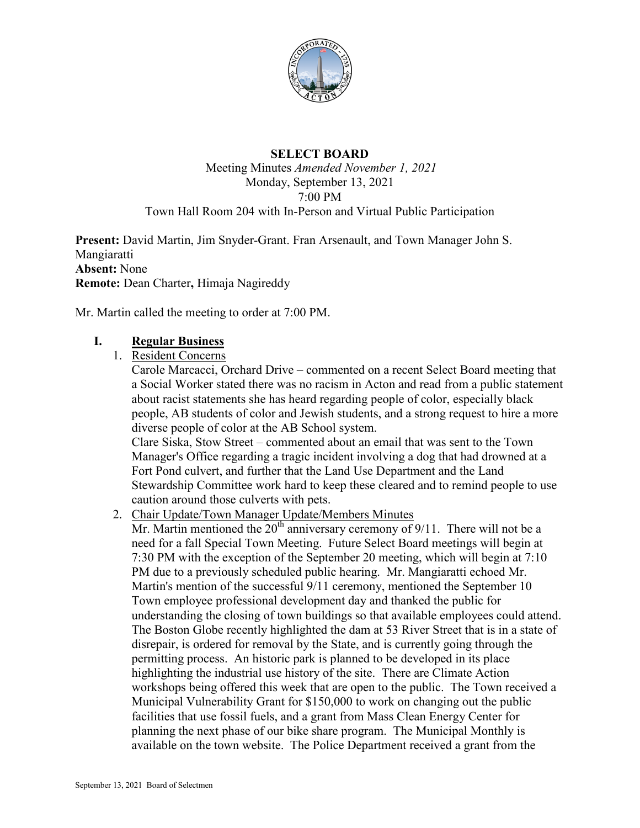

## **SELECT BOARD**

#### Meeting Minutes *Amended November 1, 2021* Monday, September 13, 2021 7:00 PM Town Hall Room 204 with In-Person and Virtual Public Participation

**Present:** David Martin, Jim Snyder-Grant. Fran Arsenault, and Town Manager John S. Mangiaratti **Absent:** None **Remote:** Dean Charter**,** Himaja Nagireddy

Mr. Martin called the meeting to order at 7:00 PM.

## **I. Regular Business**

1. Resident Concerns

Carole Marcacci, Orchard Drive – commented on a recent Select Board meeting that a Social Worker stated there was no racism in Acton and read from a public statement about racist statements she has heard regarding people of color, especially black people, AB students of color and Jewish students, and a strong request to hire a more diverse people of color at the AB School system.

Clare Siska, Stow Street – commented about an email that was sent to the Town Manager's Office regarding a tragic incident involving a dog that had drowned at a Fort Pond culvert, and further that the Land Use Department and the Land Stewardship Committee work hard to keep these cleared and to remind people to use caution around those culverts with pets.

2. Chair Update/Town Manager Update/Members Minutes

Mr. Martin mentioned the  $20<sup>th</sup>$  anniversary ceremony of 9/11. There will not be a need for a fall Special Town Meeting. Future Select Board meetings will begin at 7:30 PM with the exception of the September 20 meeting, which will begin at 7:10 PM due to a previously scheduled public hearing. Mr. Mangiaratti echoed Mr. Martin's mention of the successful 9/11 ceremony, mentioned the September 10 Town employee professional development day and thanked the public for understanding the closing of town buildings so that available employees could attend. The Boston Globe recently highlighted the dam at 53 River Street that is in a state of disrepair, is ordered for removal by the State, and is currently going through the permitting process. An historic park is planned to be developed in its place highlighting the industrial use history of the site. There are Climate Action workshops being offered this week that are open to the public. The Town received a Municipal Vulnerability Grant for \$150,000 to work on changing out the public facilities that use fossil fuels, and a grant from Mass Clean Energy Center for planning the next phase of our bike share program. The Municipal Monthly is available on the town website. The Police Department received a grant from the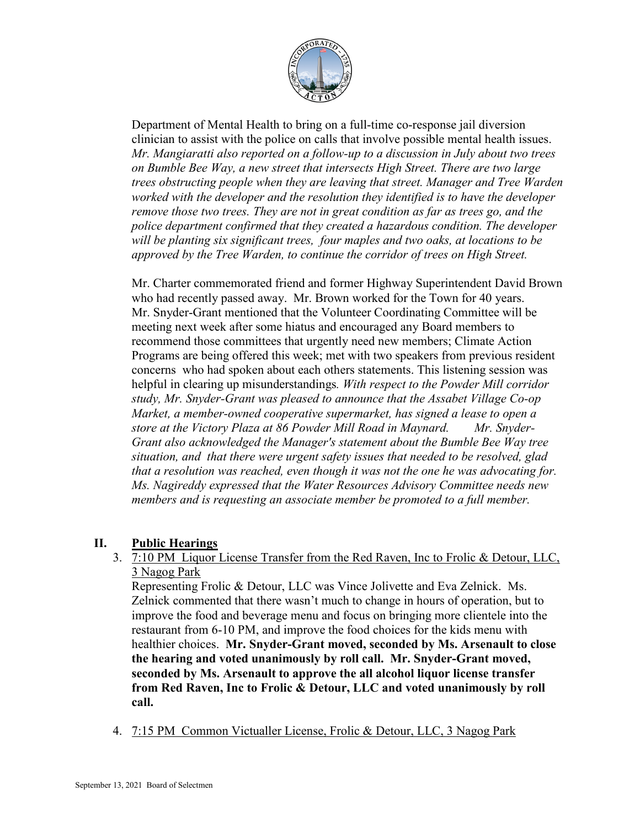

Department of Mental Health to bring on a full-time co-response jail diversion clinician to assist with the police on calls that involve possible mental health issues. *Mr. Mangiaratti also reported on a follow-up to a discussion in July about two trees on Bumble Bee Way, a new street that intersects High Street. There are two large trees obstructing people when they are leaving that street. Manager and Tree Warden worked with the developer and the resolution they identified is to have the developer remove those two trees. They are not in great condition as far as trees go, and the police department confirmed that they created a hazardous condition. The developer will be planting six significant trees, four maples and two oaks, at locations to be approved by the Tree Warden, to continue the corridor of trees on High Street.*

Mr. Charter commemorated friend and former Highway Superintendent David Brown who had recently passed away. Mr. Brown worked for the Town for 40 years. Mr. Snyder-Grant mentioned that the Volunteer Coordinating Committee will be meeting next week after some hiatus and encouraged any Board members to recommend those committees that urgently need new members; Climate Action Programs are being offered this week; met with two speakers from previous resident concerns who had spoken about each others statements. This listening session was helpful in clearing up misunderstandings*. With respect to the Powder Mill corridor study, Mr. Snyder-Grant was pleased to announce that the Assabet Village Co-op Market, a member-owned cooperative supermarket, has signed a lease to open a store at the Victory Plaza at 86 Powder Mill Road in Maynard. Mr. Snyder-Grant also acknowledged the Manager's statement about the Bumble Bee Way tree situation, and that there were urgent safety issues that needed to be resolved, glad that a resolution was reached, even though it was not the one he was advocating for. Ms. Nagireddy expressed that the Water Resources Advisory Committee needs new members and is requesting an associate member be promoted to a full member.* 

## **II. Public Hearings**

3. 7:10 PM Liquor License Transfer from the Red Raven, Inc to Frolic & Detour, LLC, 3 Nagog Park

Representing Frolic & Detour, LLC was Vince Jolivette and Eva Zelnick. Ms. Zelnick commented that there wasn't much to change in hours of operation, but to improve the food and beverage menu and focus on bringing more clientele into the restaurant from 6-10 PM, and improve the food choices for the kids menu with healthier choices. **Mr. Snyder-Grant moved, seconded by Ms. Arsenault to close the hearing and voted unanimously by roll call. Mr. Snyder-Grant moved, seconded by Ms. Arsenault to approve the all alcohol liquor license transfer from Red Raven, Inc to Frolic & Detour, LLC and voted unanimously by roll call.**

4. 7:15 PM Common Victualler License, Frolic & Detour, LLC, 3 Nagog Park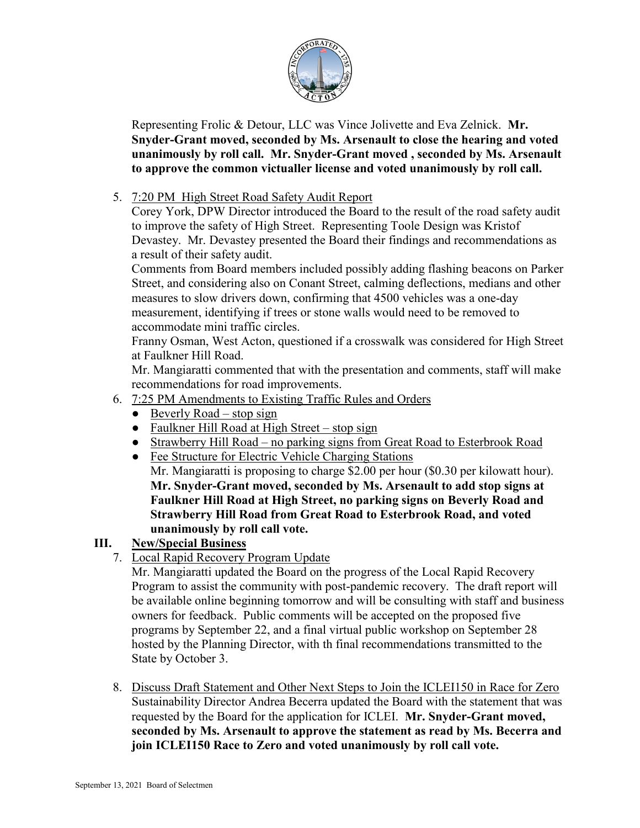

Representing Frolic & Detour, LLC was Vince Jolivette and Eva Zelnick. **Mr. Snyder-Grant moved, seconded by Ms. Arsenault to close the hearing and voted unanimously by roll call. Mr. Snyder-Grant moved , seconded by Ms. Arsenault to approve the common victualler license and voted unanimously by roll call.**

## 5. 7:20 PM High Street Road Safety Audit Report

Corey York, DPW Director introduced the Board to the result of the road safety audit to improve the safety of High Street. Representing Toole Design was Kristof Devastey. Mr. Devastey presented the Board their findings and recommendations as a result of their safety audit.

Comments from Board members included possibly adding flashing beacons on Parker Street, and considering also on Conant Street, calming deflections, medians and other measures to slow drivers down, confirming that 4500 vehicles was a one-day measurement, identifying if trees or stone walls would need to be removed to accommodate mini traffic circles.

Franny Osman, West Acton, questioned if a crosswalk was considered for High Street at Faulkner Hill Road.

Mr. Mangiaratti commented that with the presentation and comments, staff will make recommendations for road improvements.

- 6. 7:25 PM Amendments to Existing Traffic Rules and Orders
	- $\bullet$  Beverly Road stop sign
	- Faulkner Hill Road at High Street stop sign
	- Strawberry Hill Road no parking signs from Great Road to Esterbrook Road
	- Fee Structure for Electric Vehicle Charging Stations Mr. Mangiaratti is proposing to charge \$2.00 per hour (\$0.30 per kilowatt hour). **Mr. Snyder-Grant moved, seconded by Ms. Arsenault to add stop signs at Faulkner Hill Road at High Street, no parking signs on Beverly Road and Strawberry Hill Road from Great Road to Esterbrook Road, and voted unanimously by roll call vote.**

# **III. New/Special Business**

7. Local Rapid Recovery Program Update

Mr. Mangiaratti updated the Board on the progress of the Local Rapid Recovery Program to assist the community with post-pandemic recovery. The draft report will be available online beginning tomorrow and will be consulting with staff and business owners for feedback. Public comments will be accepted on the proposed five programs by September 22, and a final virtual public workshop on September 28 hosted by the Planning Director, with th final recommendations transmitted to the State by October 3.

8. Discuss Draft Statement and Other Next Steps to Join the ICLEI150 in Race for Zero Sustainability Director Andrea Becerra updated the Board with the statement that was requested by the Board for the application for ICLEI. **Mr. Snyder-Grant moved, seconded by Ms. Arsenault to approve the statement as read by Ms. Becerra and join ICLEI150 Race to Zero and voted unanimously by roll call vote.**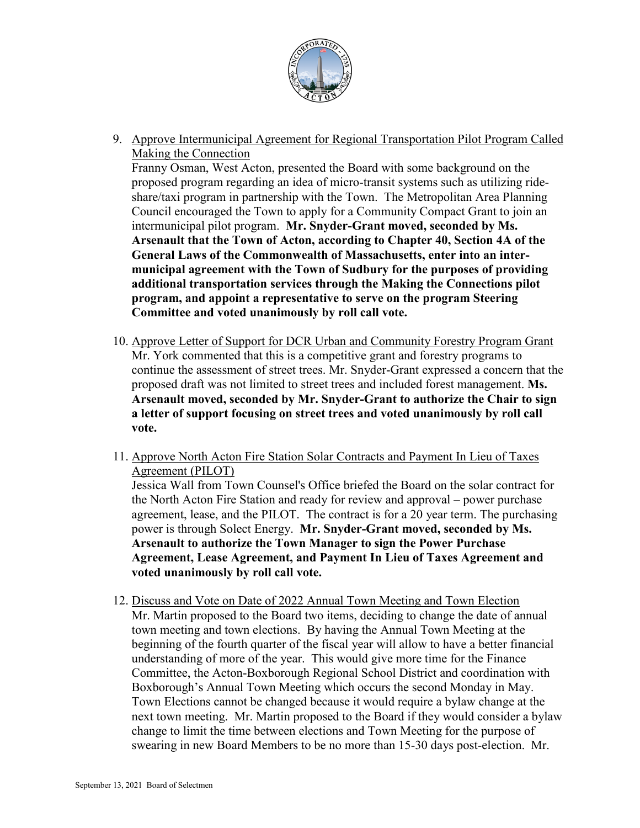

9. Approve Intermunicipal Agreement for Regional Transportation Pilot Program Called Making the Connection

Franny Osman, West Acton, presented the Board with some background on the proposed program regarding an idea of micro-transit systems such as utilizing rideshare/taxi program in partnership with the Town. The Metropolitan Area Planning Council encouraged the Town to apply for a Community Compact Grant to join an intermunicipal pilot program. **Mr. Snyder-Grant moved, seconded by Ms. Arsenault that the Town of Acton, according to Chapter 40, Section 4A of the General Laws of the Commonwealth of Massachusetts, enter into an intermunicipal agreement with the Town of Sudbury for the purposes of providing additional transportation services through the Making the Connections pilot program, and appoint a representative to serve on the program Steering Committee and voted unanimously by roll call vote.**

- 10. Approve Letter of Support for DCR Urban and Community Forestry Program Grant Mr. York commented that this is a competitive grant and forestry programs to continue the assessment of street trees. Mr. Snyder-Grant expressed a concern that the proposed draft was not limited to street trees and included forest management. **Ms. Arsenault moved, seconded by Mr. Snyder-Grant to authorize the Chair to sign a letter of support focusing on street trees and voted unanimously by roll call vote.**
- 11. Approve North Acton Fire Station Solar Contracts and Payment In Lieu of Taxes Agreement (PILOT)

Jessica Wall from Town Counsel's Office briefed the Board on the solar contract for the North Acton Fire Station and ready for review and approval – power purchase agreement, lease, and the PILOT. The contract is for a 20 year term. The purchasing power is through Solect Energy. **Mr. Snyder-Grant moved, seconded by Ms. Arsenault to authorize the Town Manager to sign the Power Purchase Agreement, Lease Agreement, and Payment In Lieu of Taxes Agreement and voted unanimously by roll call vote.**

12. Discuss and Vote on Date of 2022 Annual Town Meeting and Town Election Mr. Martin proposed to the Board two items, deciding to change the date of annual town meeting and town elections. By having the Annual Town Meeting at the beginning of the fourth quarter of the fiscal year will allow to have a better financial understanding of more of the year. This would give more time for the Finance Committee, the Acton-Boxborough Regional School District and coordination with Boxborough's Annual Town Meeting which occurs the second Monday in May. Town Elections cannot be changed because it would require a bylaw change at the next town meeting. Mr. Martin proposed to the Board if they would consider a bylaw change to limit the time between elections and Town Meeting for the purpose of swearing in new Board Members to be no more than 15-30 days post-election. Mr.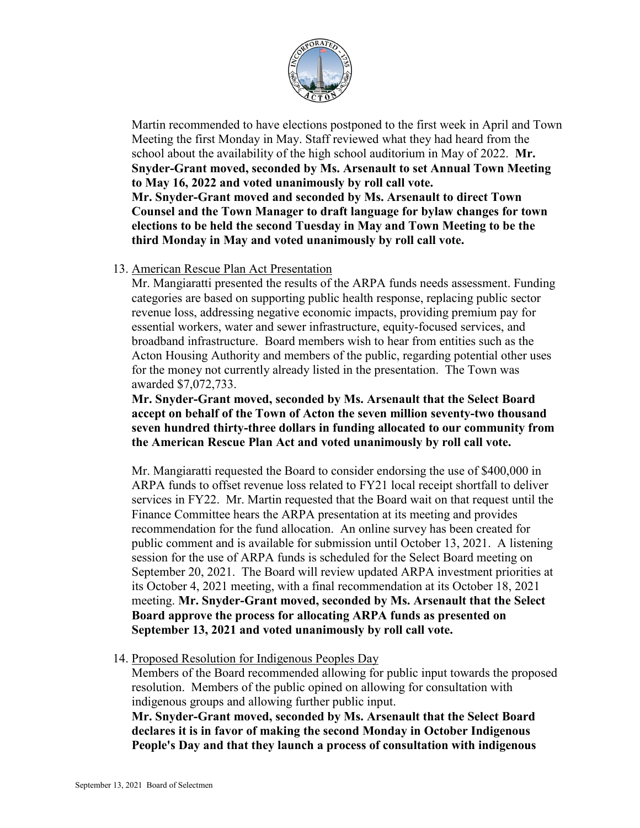

Martin recommended to have elections postponed to the first week in April and Town Meeting the first Monday in May. Staff reviewed what they had heard from the school about the availability of the high school auditorium in May of 2022. **Mr. Snyder-Grant moved, seconded by Ms. Arsenault to set Annual Town Meeting to May 16, 2022 and voted unanimously by roll call vote. Mr. Snyder-Grant moved and seconded by Ms. Arsenault to direct Town Counsel and the Town Manager to draft language for bylaw changes for town elections to be held the second Tuesday in May and Town Meeting to be the third Monday in May and voted unanimously by roll call vote.**

#### 13. American Rescue Plan Act Presentation

Mr. Mangiaratti presented the results of the ARPA funds needs assessment. Funding categories are based on supporting public health response, replacing public sector revenue loss, addressing negative economic impacts, providing premium pay for essential workers, water and sewer infrastructure, equity-focused services, and broadband infrastructure. Board members wish to hear from entities such as the Acton Housing Authority and members of the public, regarding potential other uses for the money not currently already listed in the presentation. The Town was awarded \$7,072,733.

**Mr. Snyder-Grant moved, seconded by Ms. Arsenault that the Select Board accept on behalf of the Town of Acton the seven million seventy-two thousand seven hundred thirty-three dollars in funding allocated to our community from the American Rescue Plan Act and voted unanimously by roll call vote.**

Mr. Mangiaratti requested the Board to consider endorsing the use of \$400,000 in ARPA funds to offset revenue loss related to FY21 local receipt shortfall to deliver services in FY22. Mr. Martin requested that the Board wait on that request until the Finance Committee hears the ARPA presentation at its meeting and provides recommendation for the fund allocation. An online survey has been created for public comment and is available for submission until October 13, 2021. A listening session for the use of ARPA funds is scheduled for the Select Board meeting on September 20, 2021. The Board will review updated ARPA investment priorities at its October 4, 2021 meeting, with a final recommendation at its October 18, 2021 meeting. **Mr. Snyder-Grant moved, seconded by Ms. Arsenault that the Select Board approve the process for allocating ARPA funds as presented on September 13, 2021 and voted unanimously by roll call vote.**

14. Proposed Resolution for Indigenous Peoples Day

Members of the Board recommended allowing for public input towards the proposed resolution. Members of the public opined on allowing for consultation with indigenous groups and allowing further public input.

**Mr. Snyder-Grant moved, seconded by Ms. Arsenault that the Select Board declares it is in favor of making the second Monday in October Indigenous People's Day and that they launch a process of consultation with indigenous**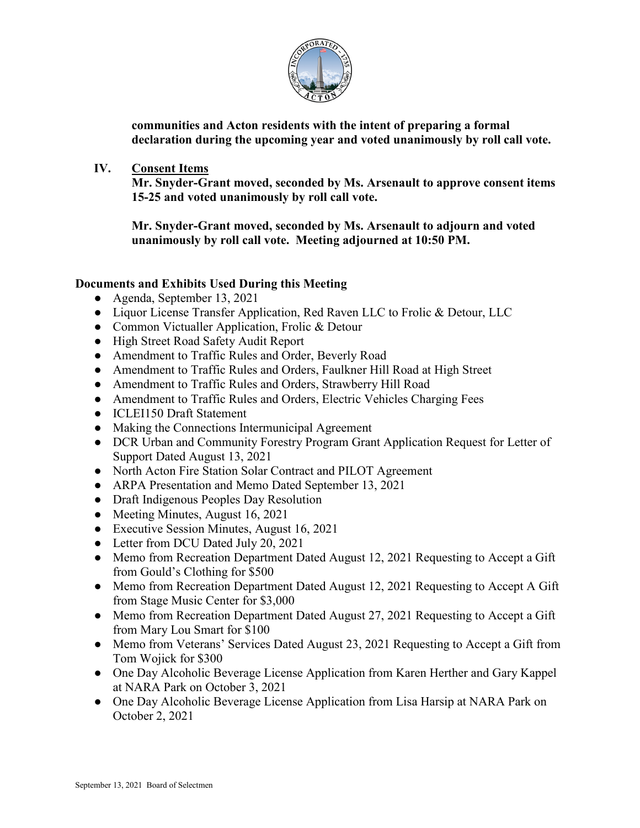

**communities and Acton residents with the intent of preparing a formal declaration during the upcoming year and voted unanimously by roll call vote.**

**IV. Consent Items** 

**Mr. Snyder-Grant moved, seconded by Ms. Arsenault to approve consent items 15-25 and voted unanimously by roll call vote.**

**Mr. Snyder-Grant moved, seconded by Ms. Arsenault to adjourn and voted unanimously by roll call vote. Meeting adjourned at 10:50 PM.**

## **Documents and Exhibits Used During this Meeting**

- Agenda, September 13, 2021
- Liquor License Transfer Application, Red Raven LLC to Frolic & Detour, LLC
- Common Victualler Application, Frolic & Detour
- High Street Road Safety Audit Report
- Amendment to Traffic Rules and Order, Beverly Road
- Amendment to Traffic Rules and Orders, Faulkner Hill Road at High Street
- Amendment to Traffic Rules and Orders, Strawberry Hill Road
- Amendment to Traffic Rules and Orders, Electric Vehicles Charging Fees
- ICLEI150 Draft Statement
- Making the Connections Intermunicipal Agreement
- DCR Urban and Community Forestry Program Grant Application Request for Letter of Support Dated August 13, 2021
- North Acton Fire Station Solar Contract and PILOT Agreement
- ARPA Presentation and Memo Dated September 13, 2021
- Draft Indigenous Peoples Day Resolution
- Meeting Minutes, August 16, 2021
- Executive Session Minutes, August 16, 2021
- Letter from DCU Dated July 20, 2021
- Memo from Recreation Department Dated August 12, 2021 Requesting to Accept a Gift from Gould's Clothing for \$500
- Memo from Recreation Department Dated August 12, 2021 Requesting to Accept A Gift from Stage Music Center for \$3,000
- Memo from Recreation Department Dated August 27, 2021 Requesting to Accept a Gift from Mary Lou Smart for \$100
- Memo from Veterans' Services Dated August 23, 2021 Requesting to Accept a Gift from Tom Wojick for \$300
- One Day Alcoholic Beverage License Application from Karen Herther and Gary Kappel at NARA Park on October 3, 2021
- One Day Alcoholic Beverage License Application from Lisa Harsip at NARA Park on October 2, 2021